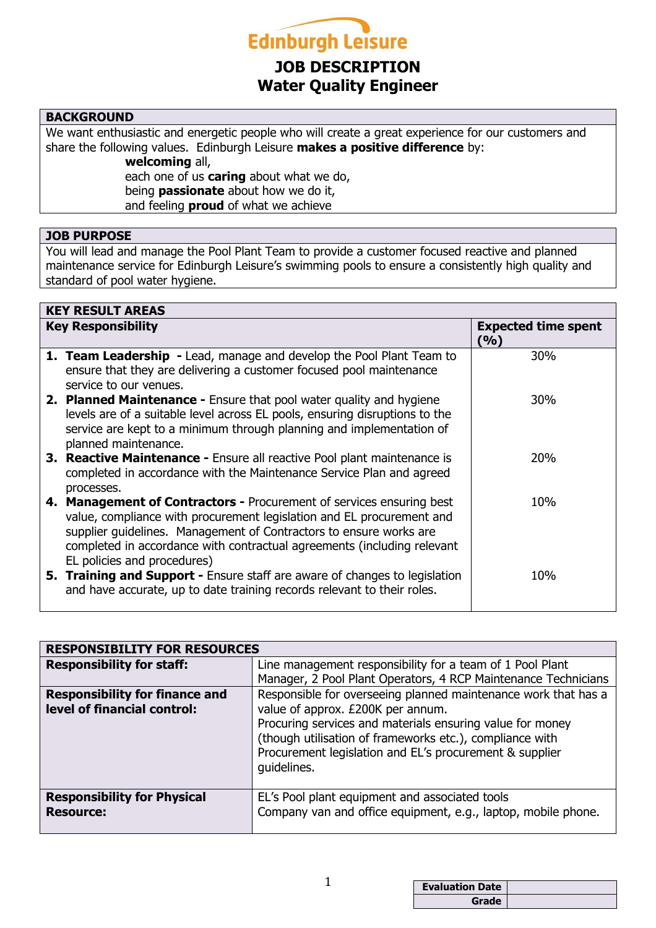

# **JOB DESCRIPTION Water Quality Engineer**

# **BACKGROUND**

We want enthusiastic and energetic people who will create a great experience for our customers and share the following values. Edinburgh Leisure **makes a positive difference** by:

**welcoming** all, each one of us **caring** about what we do, being **passionate** about how we do it, and feeling **proud** of what we achieve

#### **JOB PURPOSE**

You will lead and manage the Pool Plant Team to provide a customer focused reactive and planned maintenance service for Edinburgh Leisure's swimming pools to ensure a consistently high quality and standard of pool water hygiene.

| <b>KEY RESULT AREAS</b> |                                                                                                                                                                                                                                                                                                                               |                                   |
|-------------------------|-------------------------------------------------------------------------------------------------------------------------------------------------------------------------------------------------------------------------------------------------------------------------------------------------------------------------------|-----------------------------------|
|                         | <b>Key Responsibility</b>                                                                                                                                                                                                                                                                                                     | <b>Expected time spent</b><br>(%) |
|                         | 1. Team Leadership - Lead, manage and develop the Pool Plant Team to<br>ensure that they are delivering a customer focused pool maintenance<br>service to our venues.                                                                                                                                                         | 30%                               |
|                         | <b>2. Planned Maintenance -</b> Ensure that pool water quality and hygiene<br>levels are of a suitable level across EL pools, ensuring disruptions to the<br>service are kept to a minimum through planning and implementation of<br>planned maintenance.                                                                     | 30%                               |
|                         | 3. Reactive Maintenance - Ensure all reactive Pool plant maintenance is<br>completed in accordance with the Maintenance Service Plan and agreed<br>processes.                                                                                                                                                                 | <b>20%</b>                        |
|                         | 4. Management of Contractors - Procurement of services ensuring best<br>value, compliance with procurement legislation and EL procurement and<br>supplier guidelines. Management of Contractors to ensure works are<br>completed in accordance with contractual agreements (including relevant<br>EL policies and procedures) | 10%                               |
|                         | <b>5. Training and Support -</b> Ensure staff are aware of changes to legislation<br>and have accurate, up to date training records relevant to their roles.                                                                                                                                                                  | 10%                               |

| <b>RESPONSIBILITY FOR RESOURCES</b>                    |                                                                                                                                                                                                 |  |
|--------------------------------------------------------|-------------------------------------------------------------------------------------------------------------------------------------------------------------------------------------------------|--|
| <b>Responsibility for staff:</b>                       | Line management responsibility for a team of 1 Pool Plant                                                                                                                                       |  |
|                                                        | Manager, 2 Pool Plant Operators, 4 RCP Maintenance Technicians                                                                                                                                  |  |
| <b>Responsibility for finance and</b>                  | Responsible for overseeing planned maintenance work that has a                                                                                                                                  |  |
| level of financial control:                            | value of approx. £200K per annum.                                                                                                                                                               |  |
|                                                        | Procuring services and materials ensuring value for money<br>(though utilisation of frameworks etc.), compliance with<br>Procurement legislation and EL's procurement & supplier<br>quidelines. |  |
| <b>Responsibility for Physical</b><br><b>Resource:</b> | EL's Pool plant equipment and associated tools<br>Company van and office equipment, e.g., laptop, mobile phone.                                                                                 |  |

| ◢ | <b>Evaluation Date</b> |  |
|---|------------------------|--|
|   | Grade                  |  |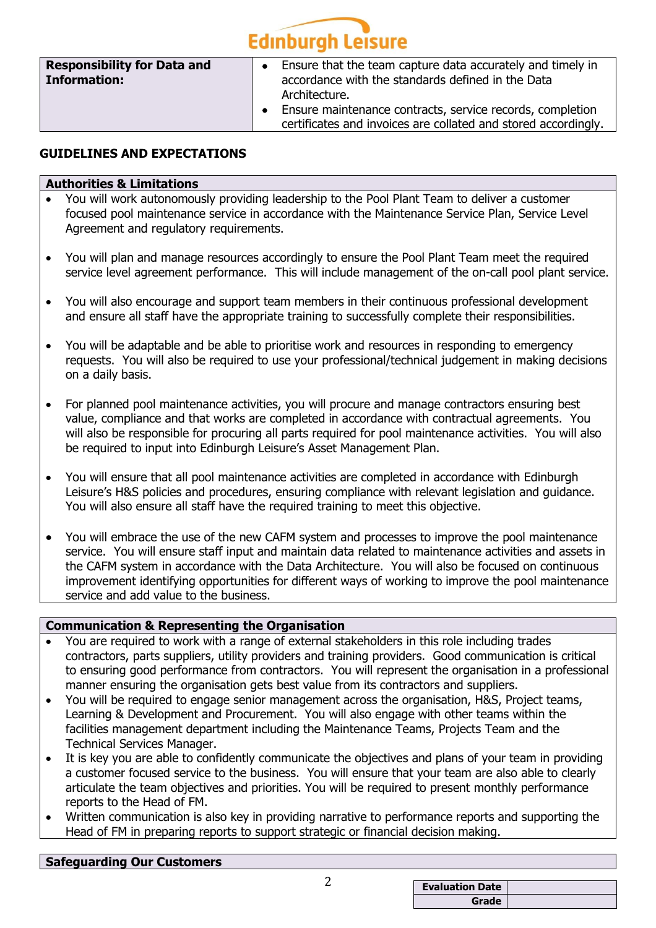# **Edinburgh Leisure**

| <b>Responsibility for Data and</b><br><b>Information:</b> | Ensure that the team capture data accurately and timely in<br>$\bullet$<br>accordance with the standards defined in the Data<br>Architecture. |
|-----------------------------------------------------------|-----------------------------------------------------------------------------------------------------------------------------------------------|
|                                                           | Ensure maintenance contracts, service records, completion<br>certificates and invoices are collated and stored accordingly.                   |

## **GUIDELINES AND EXPECTATIONS**

#### **Authorities & Limitations**

- You will work autonomously providing leadership to the Pool Plant Team to deliver a customer focused pool maintenance service in accordance with the Maintenance Service Plan, Service Level Agreement and regulatory requirements.
- You will plan and manage resources accordingly to ensure the Pool Plant Team meet the required service level agreement performance. This will include management of the on-call pool plant service.
- You will also encourage and support team members in their continuous professional development and ensure all staff have the appropriate training to successfully complete their responsibilities.
- You will be adaptable and be able to prioritise work and resources in responding to emergency requests. You will also be required to use your professional/technical judgement in making decisions on a daily basis.
- For planned pool maintenance activities, you will procure and manage contractors ensuring best value, compliance and that works are completed in accordance with contractual agreements. You will also be responsible for procuring all parts required for pool maintenance activities. You will also be required to input into Edinburgh Leisure's Asset Management Plan.
- You will ensure that all pool maintenance activities are completed in accordance with Edinburgh Leisure's H&S policies and procedures, ensuring compliance with relevant legislation and guidance. You will also ensure all staff have the required training to meet this objective.
- You will embrace the use of the new CAFM system and processes to improve the pool maintenance service. You will ensure staff input and maintain data related to maintenance activities and assets in the CAFM system in accordance with the Data Architecture. You will also be focused on continuous improvement identifying opportunities for different ways of working to improve the pool maintenance service and add value to the business.

#### **Communication & Representing the Organisation**

- You are required to work with a range of external stakeholders in this role including trades contractors, parts suppliers, utility providers and training providers. Good communication is critical to ensuring good performance from contractors. You will represent the organisation in a professional manner ensuring the organisation gets best value from its contractors and suppliers.
- You will be required to engage senior management across the organisation, H&S, Project teams, Learning & Development and Procurement. You will also engage with other teams within the facilities management department including the Maintenance Teams, Projects Team and the Technical Services Manager.
- It is key you are able to confidently communicate the objectives and plans of your team in providing a customer focused service to the business. You will ensure that your team are also able to clearly articulate the team objectives and priorities. You will be required to present monthly performance reports to the Head of FM.
- Written communication is also key in providing narrative to performance reports and supporting the Head of FM in preparing reports to support strategic or financial decision making.

### **Safeguarding Our Customers**

| ⌒ |                        |  |
|---|------------------------|--|
|   | <b>Evaluation Date</b> |  |
|   | Grade                  |  |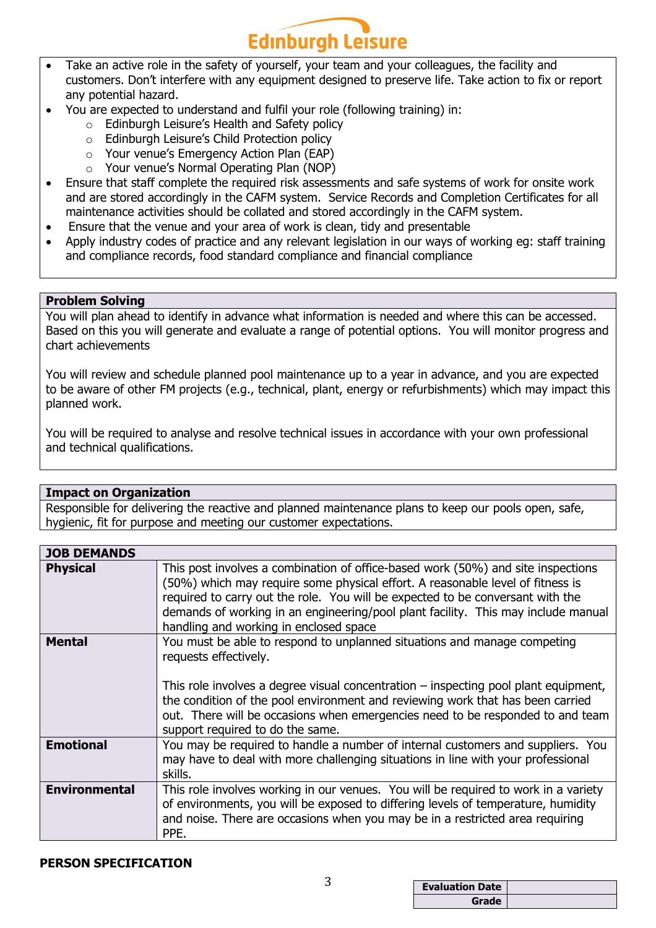

- Take an active role in the safety of yourself, your team and your colleagues, the facility and customers. Don't interfere with any equipment designed to preserve life. Take action to fix or report any potential hazard.
- You are expected to understand and fulfil your role (following training) in:
	- o Edinburgh Leisure's Health and Safety policy
	- o Edinburgh Leisure's Child Protection policy
	- o Your venue's Emergency Action Plan (EAP)
	- o Your venue's Normal Operating Plan (NOP)
- Ensure that staff complete the required risk assessments and safe systems of work for onsite work and are stored accordingly in the CAFM system. Service Records and Completion Certificates for all maintenance activities should be collated and stored accordingly in the CAFM system.
- Ensure that the venue and your area of work is clean, tidy and presentable
- Apply industry codes of practice and any relevant legislation in our ways of working eg: staff training and compliance records, food standard compliance and financial compliance

#### **Problem Solving**

You will plan ahead to identify in advance what information is needed and where this can be accessed. Based on this you will generate and evaluate a range of potential options. You will monitor progress and chart achievements

You will review and schedule planned pool maintenance up to a year in advance, and you are expected to be aware of other FM projects (e.g., technical, plant, energy or refurbishments) which may impact this planned work.

You will be required to analyse and resolve technical issues in accordance with your own professional and technical qualifications.

#### **Impact on Organization**

Responsible for delivering the reactive and planned maintenance plans to keep our pools open, safe, hygienic, fit for purpose and meeting our customer expectations.

| <b>JOB DEMANDS</b>   |                                                                                                                                                                                                                                                                                                                                                                                                    |
|----------------------|----------------------------------------------------------------------------------------------------------------------------------------------------------------------------------------------------------------------------------------------------------------------------------------------------------------------------------------------------------------------------------------------------|
| <b>Physical</b>      | This post involves a combination of office-based work (50%) and site inspections<br>(50%) which may require some physical effort. A reasonable level of fitness is<br>required to carry out the role. You will be expected to be conversant with the<br>demands of working in an engineering/pool plant facility. This may include manual<br>handling and working in enclosed space                |
| <b>Mental</b>        | You must be able to respond to unplanned situations and manage competing<br>requests effectively.<br>This role involves a degree visual concentration $-$ inspecting pool plant equipment,<br>the condition of the pool environment and reviewing work that has been carried<br>out. There will be occasions when emergencies need to be responded to and team<br>support required to do the same. |
| <b>Emotional</b>     | You may be required to handle a number of internal customers and suppliers. You<br>may have to deal with more challenging situations in line with your professional<br>skills.                                                                                                                                                                                                                     |
| <b>Environmental</b> | This role involves working in our venues. You will be required to work in a variety<br>of environments, you will be exposed to differing levels of temperature, humidity<br>and noise. There are occasions when you may be in a restricted area requiring<br>PPE.                                                                                                                                  |

#### **PERSON SPECIFICATION**

| ົ |                        |  |
|---|------------------------|--|
| ر | <b>Evaluation Date</b> |  |
|   | Grade                  |  |